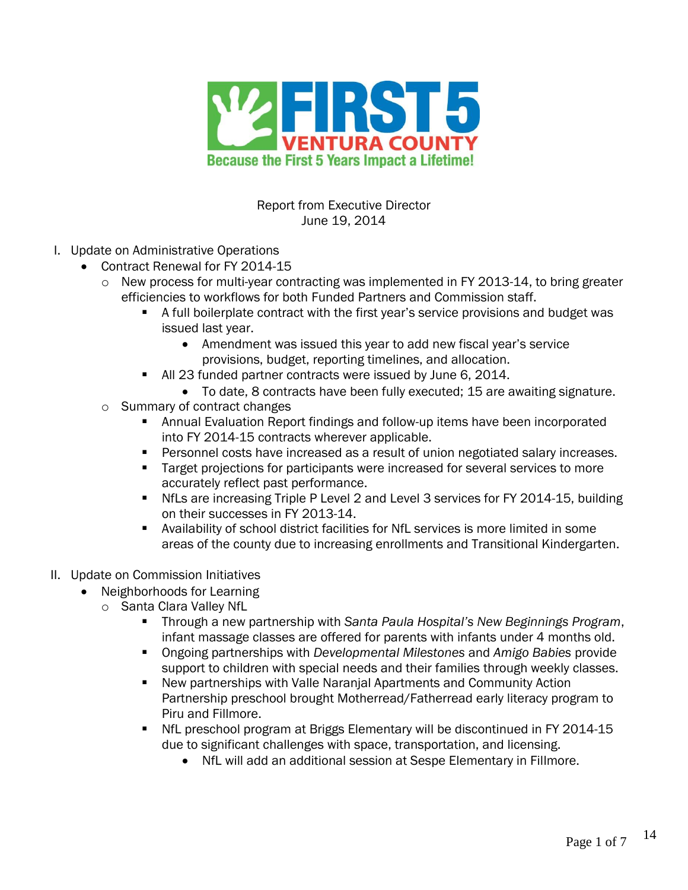

### Report from Executive Director June 19, 2014

- I. Update on Administrative Operations
	- Contract Renewal for FY 2014-15
		- o New process for multi-year contracting was implemented in FY 2013-14, to bring greater efficiencies to workflows for both Funded Partners and Commission staff.
			- A full boilerplate contract with the first year's service provisions and budget was issued last year.
				- Amendment was issued this year to add new fiscal year's service provisions, budget, reporting timelines, and allocation.
			- All 23 funded partner contracts were issued by June 6, 2014.
				- To date, 8 contracts have been fully executed; 15 are awaiting signature.
		- o Summary of contract changes
			- Annual Evaluation Report findings and follow-up items have been incorporated into FY 2014-15 contracts wherever applicable.
			- **Personnel costs have increased as a result of union negotiated salary increases.**
			- Target projections for participants were increased for several services to more accurately reflect past performance.
			- NfLs are increasing Triple P Level 2 and Level 3 services for FY 2014-15, building on their successes in FY 2013-14.
			- Availability of school district facilities for NfL services is more limited in some areas of the county due to increasing enrollments and Transitional Kindergarten.
- II. Update on Commission Initiatives
	- Neighborhoods for Learning
		- o Santa Clara Valley NfL
			- Through a new partnership with *Santa Paula Hospital's New Beginnings Program*, infant massage classes are offered for parents with infants under 4 months old.
			- Ongoing partnerships with *Developmental Milestones* and *Amigo Babies* provide support to children with special needs and their families through weekly classes.
			- New partnerships with Valle Naranjal Apartments and Community Action Partnership preschool brought Motherread/Fatherread early literacy program to Piru and Fillmore.
			- **NfL preschool program at Briggs Elementary will be discontinued in FY 2014-15** due to significant challenges with space, transportation, and licensing.
				- NfL will add an additional session at Sespe Elementary in Fillmore.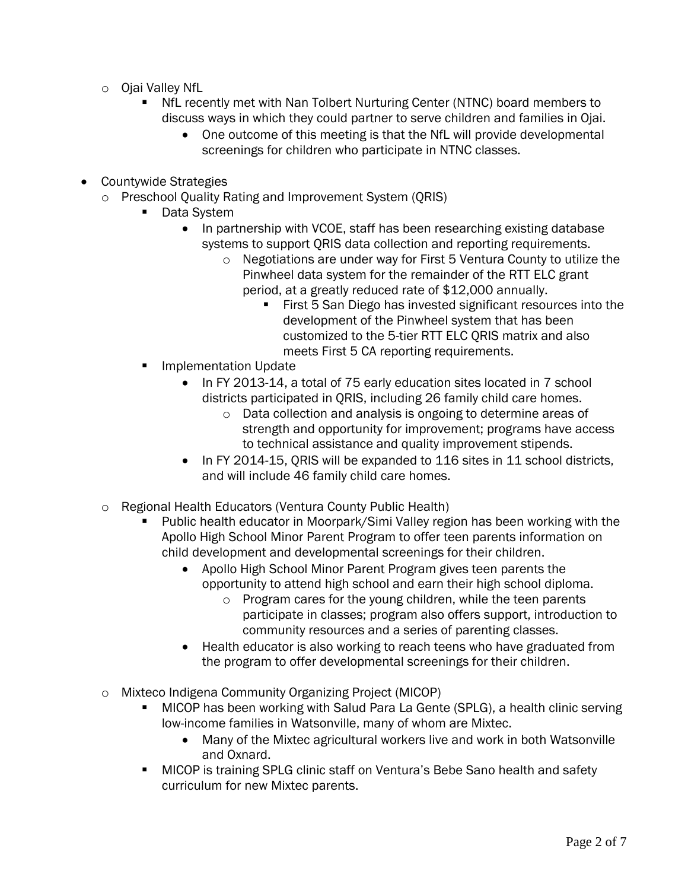- o Ojai Valley NfL
	- NfL recently met with Nan Tolbert Nurturing Center (NTNC) board members to discuss ways in which they could partner to serve children and families in Ojai.
		- One outcome of this meeting is that the NfL will provide developmental screenings for children who participate in NTNC classes.
- Countywide Strategies
	- o Preschool Quality Rating and Improvement System (QRIS)
		- **Data System** 
			- In partnership with VCOE, staff has been researching existing database systems to support QRIS data collection and reporting requirements.
				- o Negotiations are under way for First 5 Ventura County to utilize the Pinwheel data system for the remainder of the RTT ELC grant period, at a greatly reduced rate of \$12,000 annually.
					- First 5 San Diego has invested significant resources into the development of the Pinwheel system that has been customized to the 5-tier RTT ELC QRIS matrix and also meets First 5 CA reporting requirements.
		- Implementation Update
			- In FY 2013-14, a total of 75 early education sites located in 7 school districts participated in QRIS, including 26 family child care homes.
				- o Data collection and analysis is ongoing to determine areas of strength and opportunity for improvement; programs have access to technical assistance and quality improvement stipends.
			- In FY 2014-15, QRIS will be expanded to 116 sites in 11 school districts, and will include 46 family child care homes.
	- o Regional Health Educators (Ventura County Public Health)
		- Public health educator in Moorpark/Simi Valley region has been working with the Apollo High School Minor Parent Program to offer teen parents information on child development and developmental screenings for their children.
			- Apollo High School Minor Parent Program gives teen parents the opportunity to attend high school and earn their high school diploma.
				- o Program cares for the young children, while the teen parents participate in classes; program also offers support, introduction to community resources and a series of parenting classes.
			- Health educator is also working to reach teens who have graduated from the program to offer developmental screenings for their children.
	- o Mixteco Indigena Community Organizing Project (MICOP)
		- **MICOP** has been working with Salud Para La Gente (SPLG), a health clinic serving low-income families in Watsonville, many of whom are Mixtec.
			- Many of the Mixtec agricultural workers live and work in both Watsonville and Oxnard.
		- **MICOP** is training SPLG clinic staff on Ventura's Bebe Sano health and safety curriculum for new Mixtec parents.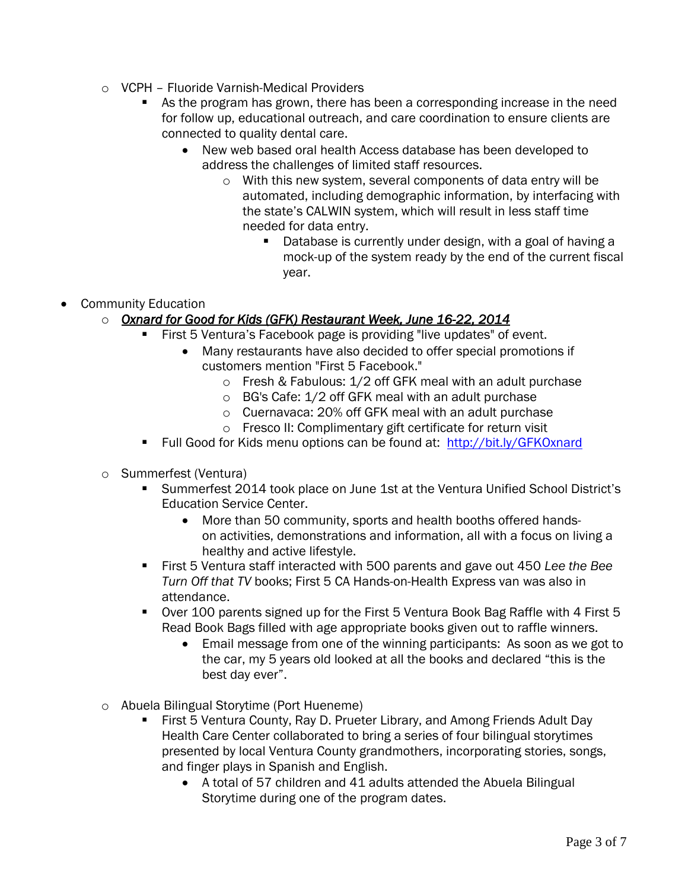- o VCPH Fluoride Varnish-Medical Providers
	- As the program has grown, there has been a corresponding increase in the need for follow up, educational outreach, and care coordination to ensure clients are connected to quality dental care.
		- New web based oral health Access database has been developed to address the challenges of limited staff resources.
			- o With this new system, several components of data entry will be automated, including demographic information, by interfacing with the state's CALWIN system, which will result in less staff time needed for data entry.
				- Database is currently under design, with a goal of having a mock-up of the system ready by the end of the current fiscal year.
- Community Education
	- o *Oxnard for Good for Kids (GFK) Restaurant Week, June 16-22, 2014* 
		- **First 5 Ventura's Facebook page is providing "live updates" of event.** 
			- Many restaurants have also decided to offer special promotions if customers mention "First 5 Facebook."
				- o Fresh & Fabulous: 1/2 off GFK meal with an adult purchase
				- o BG's Cafe: 1/2 off GFK meal with an adult purchase
				- o Cuernavaca: 20% off GFK meal with an adult purchase
				- o Fresco II: Complimentary gift certificate for return visit
		- Full Good for Kids menu options can be found at: <http://bit.ly/GFKOxnard>
	- o Summerfest (Ventura)
		- Summerfest 2014 took place on June 1st at the Ventura Unified School District's Education Service Center.
			- More than 50 community, sports and health booths offered handson activities, demonstrations and information, all with a focus on living a healthy and active lifestyle.
		- First 5 Ventura staff interacted with 500 parents and gave out 450 *Lee the Bee Turn Off that TV* books; First 5 CA Hands-on-Health Express van was also in attendance.
		- Over 100 parents signed up for the First 5 Ventura Book Bag Raffle with 4 First 5 Read Book Bags filled with age appropriate books given out to raffle winners.
			- Email message from one of the winning participants: As soon as we got to the car, my 5 years old looked at all the books and declared "this is the best day ever".
	- o Abuela Bilingual Storytime (Port Hueneme)
		- First 5 Ventura County, Ray D. Prueter Library, and Among Friends Adult Day Health Care Center collaborated to bring a series of four bilingual storytimes presented by local Ventura County grandmothers, incorporating stories, songs, and finger plays in Spanish and English.
			- A total of 57 children and 41 adults attended the Abuela Bilingual Storytime during one of the program dates.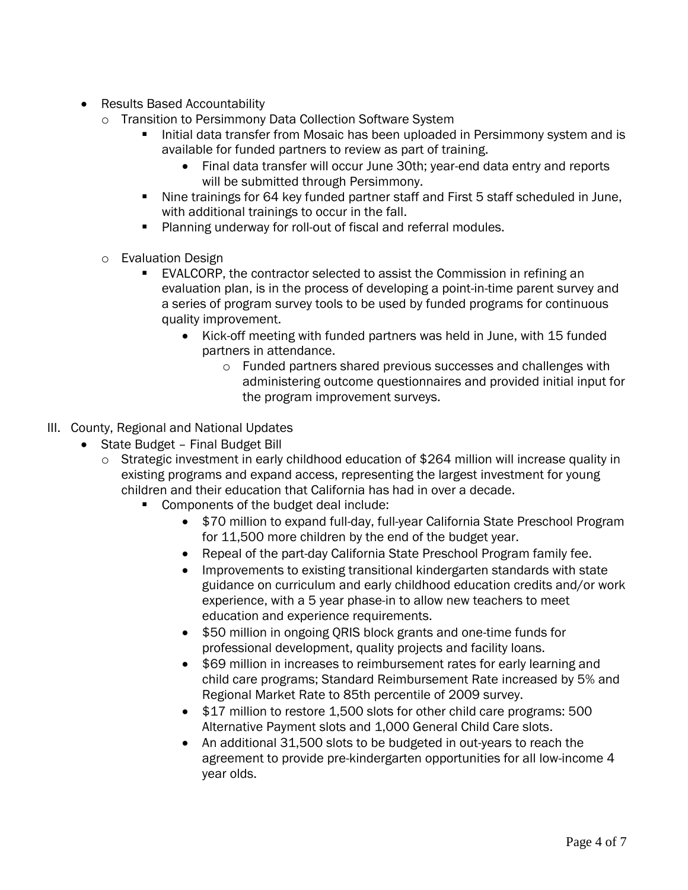- Results Based Accountability
	- o Transition to Persimmony Data Collection Software System
		- Initial data transfer from Mosaic has been uploaded in Persimmony system and is available for funded partners to review as part of training.
			- Final data transfer will occur June 30th; year-end data entry and reports will be submitted through Persimmony.
		- Nine trainings for 64 key funded partner staff and First 5 staff scheduled in June, with additional trainings to occur in the fall.
		- **Planning underway for roll-out of fiscal and referral modules.**
	- o Evaluation Design
		- EVALCORP, the contractor selected to assist the Commission in refining an evaluation plan, is in the process of developing a point-in-time parent survey and a series of program survey tools to be used by funded programs for continuous quality improvement.
			- Kick-off meeting with funded partners was held in June, with 15 funded partners in attendance.
				- o Funded partners shared previous successes and challenges with administering outcome questionnaires and provided initial input for the program improvement surveys.
- III. County, Regional and National Updates
	- State Budget Final Budget Bill
		- o Strategic investment in early childhood education of \$264 million will increase quality in existing programs and expand access, representing the largest investment for young children and their education that California has had in over a decade.
			- **Components of the budget deal include:** 
				- \$70 million to expand full-day, full-year California State Preschool Program for 11,500 more children by the end of the budget year.
				- Repeal of the part-day California State Preschool Program family fee.
				- Improvements to existing transitional kindergarten standards with state guidance on curriculum and early childhood education credits and/or work experience, with a 5 year phase-in to allow new teachers to meet education and experience requirements.
				- \$50 million in ongoing QRIS block grants and one-time funds for professional development, quality projects and facility loans.
				- \$69 million in increases to reimbursement rates for early learning and child care programs; Standard Reimbursement Rate increased by 5% and Regional Market Rate to 85th percentile of 2009 survey.
				- \$17 million to restore 1,500 slots for other child care programs: 500 Alternative Payment slots and 1,000 General Child Care slots.
				- An additional 31,500 slots to be budgeted in out-years to reach the agreement to provide pre-kindergarten opportunities for all low-income 4 year olds.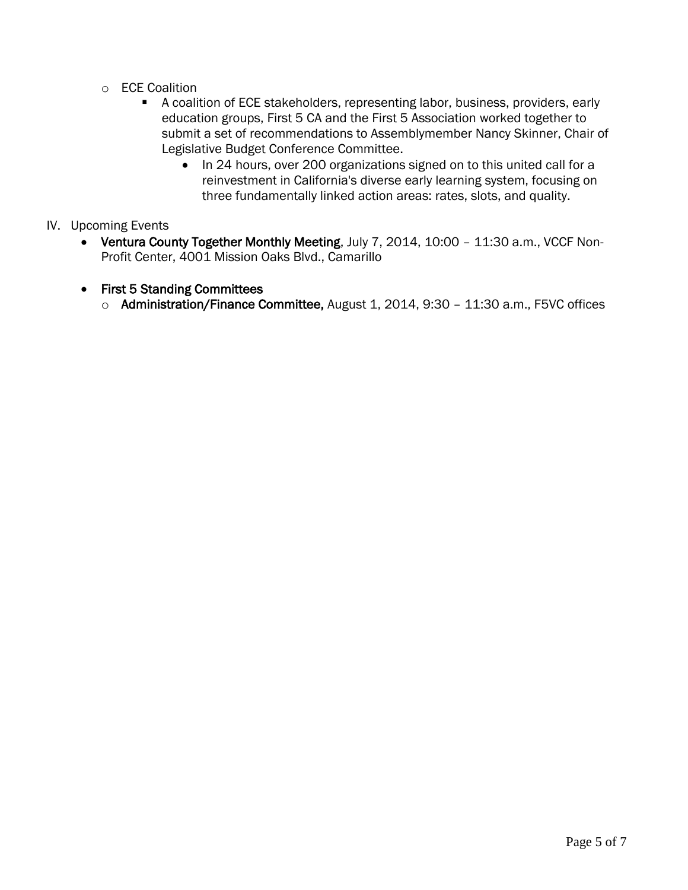- o ECE Coalition
	- A coalition of ECE stakeholders, representing labor, business, providers, early education groups, First 5 CA and the First 5 Association worked together to submit a set of recommendations to Assemblymember Nancy Skinner, Chair of Legislative Budget Conference Committee.
		- In 24 hours, over 200 organizations signed on to this united call for a reinvestment in California's diverse early learning system, focusing on three fundamentally linked action areas: rates, slots, and quality.

# IV. Upcoming Events

- Ventura County Together Monthly Meeting, July 7, 2014, 10:00 11:30 a.m., VCCF Non-Profit Center, 4001 Mission Oaks Blvd., Camarillo
- First 5 Standing Committees
	- o Administration/Finance Committee, August 1, 2014, 9:30 11:30 a.m., F5VC offices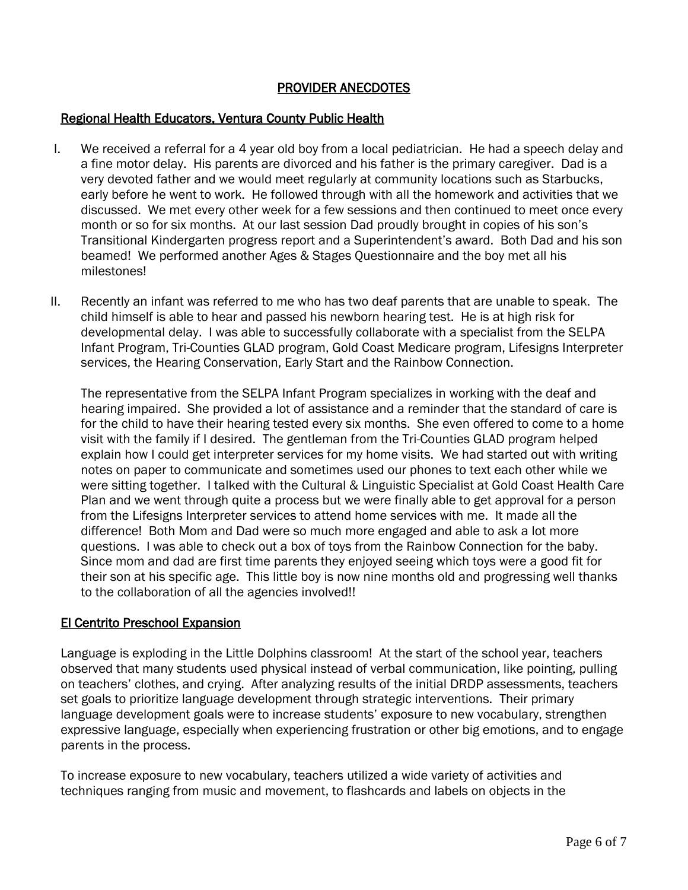# PROVIDER ANECDOTES

### Regional Health Educators, Ventura County Public Health

- I. We received a referral for a 4 year old boy from a local pediatrician. He had a speech delay and a fine motor delay. His parents are divorced and his father is the primary caregiver. Dad is a very devoted father and we would meet regularly at community locations such as Starbucks, early before he went to work. He followed through with all the homework and activities that we discussed. We met every other week for a few sessions and then continued to meet once every month or so for six months. At our last session Dad proudly brought in copies of his son's Transitional Kindergarten progress report and a Superintendent's award. Both Dad and his son beamed! We performed another Ages & Stages Questionnaire and the boy met all his milestones!
- II. Recently an infant was referred to me who has two deaf parents that are unable to speak. The child himself is able to hear and passed his newborn hearing test. He is at high risk for developmental delay. I was able to successfully collaborate with a specialist from the SELPA Infant Program, Tri-Counties GLAD program, Gold Coast Medicare program, Lifesigns Interpreter services, the Hearing Conservation, Early Start and the Rainbow Connection.

The representative from the SELPA Infant Program specializes in working with the deaf and hearing impaired. She provided a lot of assistance and a reminder that the standard of care is for the child to have their hearing tested every six months. She even offered to come to a home visit with the family if I desired. The gentleman from the Tri-Counties GLAD program helped explain how I could get interpreter services for my home visits. We had started out with writing notes on paper to communicate and sometimes used our phones to text each other while we were sitting together. I talked with the Cultural & Linguistic Specialist at Gold Coast Health Care Plan and we went through quite a process but we were finally able to get approval for a person from the Lifesigns Interpreter services to attend home services with me. It made all the difference! Both Mom and Dad were so much more engaged and able to ask a lot more questions. I was able to check out a box of toys from the Rainbow Connection for the baby. Since mom and dad are first time parents they enjoyed seeing which toys were a good fit for their son at his specific age. This little boy is now nine months old and progressing well thanks to the collaboration of all the agencies involved!!

#### El Centrito Preschool Expansion

Language is exploding in the Little Dolphins classroom! At the start of the school year, teachers observed that many students used physical instead of verbal communication, like pointing, pulling on teachers' clothes, and crying. After analyzing results of the initial DRDP assessments, teachers set goals to prioritize language development through strategic interventions. Their primary language development goals were to increase students' exposure to new vocabulary, strengthen expressive language, especially when experiencing frustration or other big emotions, and to engage parents in the process.

To increase exposure to new vocabulary, teachers utilized a wide variety of activities and techniques ranging from music and movement, to flashcards and labels on objects in the